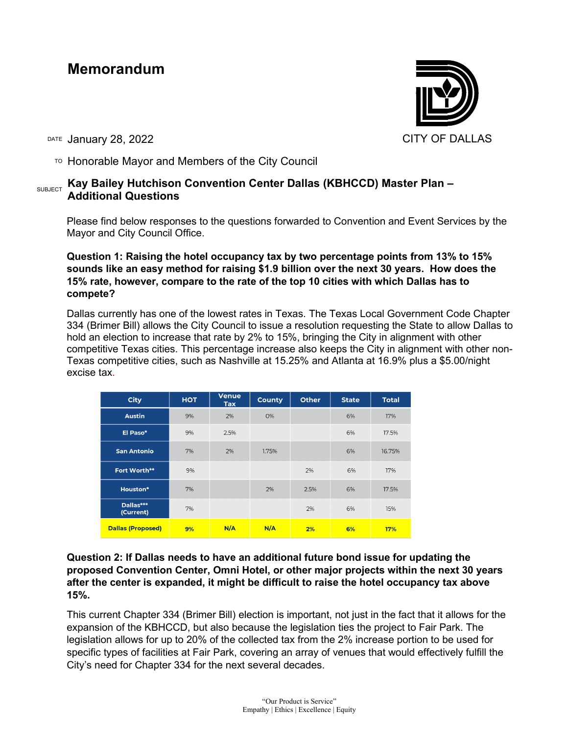# **Memorandum**



DATE January 28, 2022 **CITY OF DALLAS** 

 $\overline{P}$  Honorable Mayor and Members of the City Council

# SUBJECT **Kay Bailey Hutchison Convention Center Dallas (KBHCCD) Master Plan – Additional Questions**

Please find below responses to the questions forwarded to Convention and Event Services by the Mayor and City Council Office.

**Question 1: Raising the hotel occupancy tax by two percentage points from 13% to 15% sounds like an easy method for raising \$1.9 billion over the next 30 years. How does the 15% rate, however, compare to the rate of the top 10 cities with which Dallas has to compete?**

Dallas currently has one of the lowest rates in Texas. The Texas Local Government Code Chapter 334 (Brimer Bill) allows the City Council to issue a resolution requesting the State to allow Dallas to hold an election to increase that rate by 2% to 15%, bringing the City in alignment with other competitive Texas cities. This percentage increase also keeps the City in alignment with other non-Texas competitive cities, such as Nashville at 15.25% and Atlanta at 16.9% plus a \$5.00/night excise tax.

| <b>City</b>              | <b>HOT</b> | <b>Venue</b><br><b>Tax</b> | <b>County</b> | <b>Other</b> | <b>State</b> | <b>Total</b> |
|--------------------------|------------|----------------------------|---------------|--------------|--------------|--------------|
| <b>Austin</b>            | 9%         | 2%                         | 0%            |              | 6%           | 17%          |
| El Paso*                 | 9%         | 2.5%                       |               |              | 6%           | 17.5%        |
| <b>San Antonio</b>       | 7%         | 2%                         | 1.75%         |              | 6%           | 16.75%       |
| Fort Worth**             | 9%         |                            |               | 2%           | 6%           | 17%          |
| Houston*                 | 7%         |                            | 2%            | 2.5%         | 6%           | 17.5%        |
| Dallas***<br>(Current)   | 7%         |                            |               | 2%           | 6%           | 15%          |
| <b>Dallas (Proposed)</b> | 9%         | N/A                        | N/A           | 2%           | 6%           | 17%          |

**Question 2: If Dallas needs to have an additional future bond issue for updating the proposed Convention Center, Omni Hotel, or other major projects within the next 30 years after the center is expanded, it might be difficult to raise the hotel occupancy tax above 15%.**

This current Chapter 334 (Brimer Bill) election is important, not just in the fact that it allows for the expansion of the KBHCCD, but also because the legislation ties the project to Fair Park. The legislation allows for up to 20% of the collected tax from the 2% increase portion to be used for specific types of facilities at Fair Park, covering an array of venues that would effectively fulfill the City's need for Chapter 334 for the next several decades.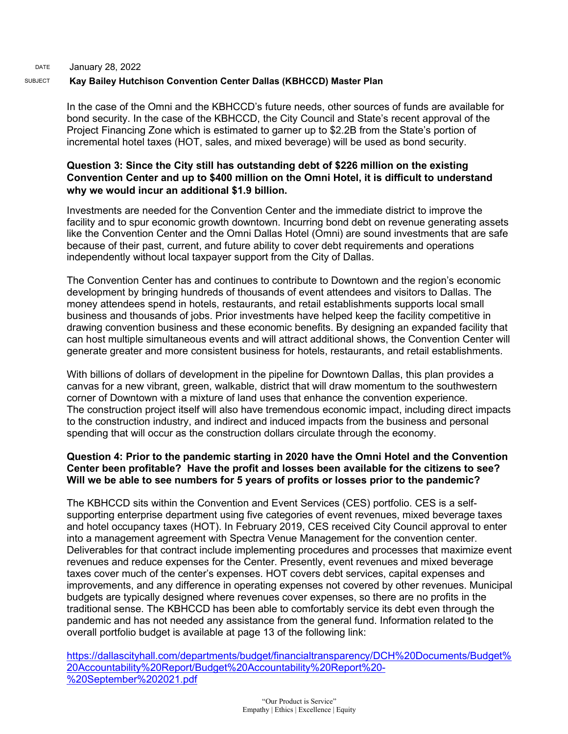## DATE January 28, 2022 SUBJECT **Kay Bailey Hutchison Convention Center Dallas (KBHCCD) Master Plan**

In the case of the Omni and the KBHCCD's future needs, other sources of funds are available for bond security. In the case of the KBHCCD, the City Council and State's recent approval of the Project Financing Zone which is estimated to garner up to \$2.2B from the State's portion of incremental hotel taxes (HOT, sales, and mixed beverage) will be used as bond security.

# **Question 3: Since the City still has outstanding debt of \$226 million on the existing Convention Center and up to \$400 million on the Omni Hotel, it is difficult to understand why we would incur an additional \$1.9 billion.**

Investments are needed for the Convention Center and the immediate district to improve the facility and to spur economic growth downtown. Incurring bond debt on revenue generating assets like the Convention Center and the Omni Dallas Hotel (Omni) are sound investments that are safe because of their past, current, and future ability to cover debt requirements and operations independently without local taxpayer support from the City of Dallas.

The Convention Center has and continues to contribute to Downtown and the region's economic development by bringing hundreds of thousands of event attendees and visitors to Dallas. The money attendees spend in hotels, restaurants, and retail establishments supports local small business and thousands of jobs. Prior investments have helped keep the facility competitive in drawing convention business and these economic benefits. By designing an expanded facility that can host multiple simultaneous events and will attract additional shows, the Convention Center will generate greater and more consistent business for hotels, restaurants, and retail establishments.

With billions of dollars of development in the pipeline for Downtown Dallas, this plan provides a canvas for a new vibrant, green, walkable, district that will draw momentum to the southwestern corner of Downtown with a mixture of land uses that enhance the convention experience. The construction project itself will also have tremendous economic impact, including direct impacts to the construction industry, and indirect and induced impacts from the business and personal spending that will occur as the construction dollars circulate through the economy.

# **Question 4: Prior to the pandemic starting in 2020 have the Omni Hotel and the Convention Center been profitable? Have the profit and losses been available for the citizens to see? Will we be able to see numbers for 5 years of profits or losses prior to the pandemic?**

The KBHCCD sits within the Convention and Event Services (CES) portfolio. CES is a selfsupporting enterprise department using five categories of event revenues, mixed beverage taxes and hotel occupancy taxes (HOT). In February 2019, CES received City Council approval to enter into a management agreement with Spectra Venue Management for the convention center. Deliverables for that contract include implementing procedures and processes that maximize event revenues and reduce expenses for the Center. Presently, event revenues and mixed beverage taxes cover much of the center's expenses. HOT covers debt services, capital expenses and improvements, and any difference in operating expenses not covered by other revenues. Municipal budgets are typically designed where revenues cover expenses, so there are no profits in the traditional sense. The KBHCCD has been able to comfortably service its debt even through the pandemic and has not needed any assistance from the general fund. Information related to the overall portfolio budget is available at page 13 of the following link:

[https://dallascityhall.com/departments/budget/financialtransparency/DCH%20Documents/Budget%](https://dallascityhall.com/departments/budget/financialtransparency/DCH%20Documents/Budget%20Accountability%20Report/Budget%20Accountability%20Report%20-%20September%202021.pdf) [20Accountability%20Report/Budget%20Accountability%20Report%20-](https://dallascityhall.com/departments/budget/financialtransparency/DCH%20Documents/Budget%20Accountability%20Report/Budget%20Accountability%20Report%20-%20September%202021.pdf) [%20September%202021.pdf](https://dallascityhall.com/departments/budget/financialtransparency/DCH%20Documents/Budget%20Accountability%20Report/Budget%20Accountability%20Report%20-%20September%202021.pdf)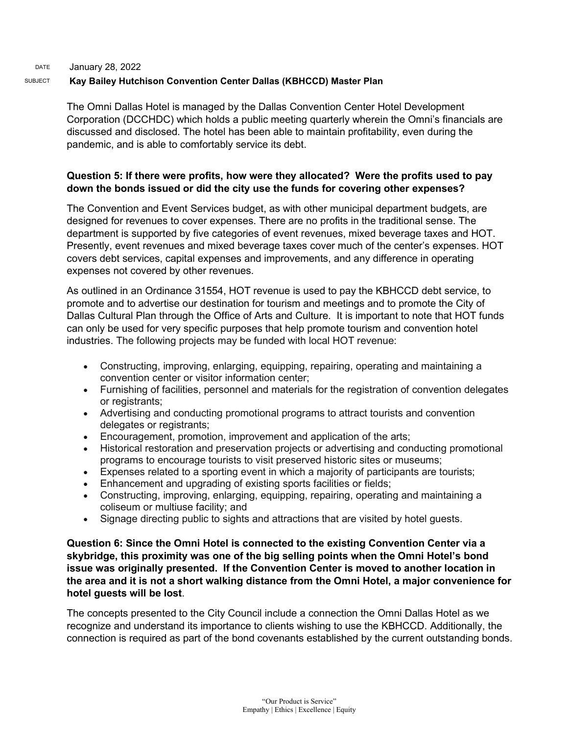## DATE January 28, 2022 SUBJECT **Kay Bailey Hutchison Convention Center Dallas (KBHCCD) Master Plan**

The Omni Dallas Hotel is managed by the Dallas Convention Center Hotel Development Corporation (DCCHDC) which holds a public meeting quarterly wherein the Omni's financials are discussed and disclosed. The hotel has been able to maintain profitability, even during the pandemic, and is able to comfortably service its debt.

# **Question 5: If there were profits, how were they allocated? Were the profits used to pay down the bonds issued or did the city use the funds for covering other expenses?**

The Convention and Event Services budget, as with other municipal department budgets, are designed for revenues to cover expenses. There are no profits in the traditional sense. The department is supported by five categories of event revenues, mixed beverage taxes and HOT. Presently, event revenues and mixed beverage taxes cover much of the center's expenses. HOT covers debt services, capital expenses and improvements, and any difference in operating expenses not covered by other revenues.

As outlined in an Ordinance 31554, HOT revenue is used to pay the KBHCCD debt service, to promote and to advertise our destination for tourism and meetings and to promote the City of Dallas Cultural Plan through the Office of Arts and Culture. It is important to note that HOT funds can only be used for very specific purposes that help promote tourism and convention hotel industries. The following projects may be funded with local HOT revenue:

- Constructing, improving, enlarging, equipping, repairing, operating and maintaining a convention center or visitor information center;
- Furnishing of facilities, personnel and materials for the registration of convention delegates or registrants;
- Advertising and conducting promotional programs to attract tourists and convention delegates or registrants;
- Encouragement, promotion, improvement and application of the arts;
- Historical restoration and preservation projects or advertising and conducting promotional programs to encourage tourists to visit preserved historic sites or museums;
- Expenses related to a sporting event in which a majority of participants are tourists;
- Enhancement and upgrading of existing sports facilities or fields;
- Constructing, improving, enlarging, equipping, repairing, operating and maintaining a coliseum or multiuse facility; and
- Signage directing public to sights and attractions that are visited by hotel guests.

**Question 6: Since the Omni Hotel is connected to the existing Convention Center via a skybridge, this proximity was one of the big selling points when the Omni Hotel's bond issue was originally presented. If the Convention Center is moved to another location in the area and it is not a short walking distance from the Omni Hotel, a major convenience for hotel guests will be lost**.

The concepts presented to the City Council include a connection the Omni Dallas Hotel as we recognize and understand its importance to clients wishing to use the KBHCCD. Additionally, the connection is required as part of the bond covenants established by the current outstanding bonds.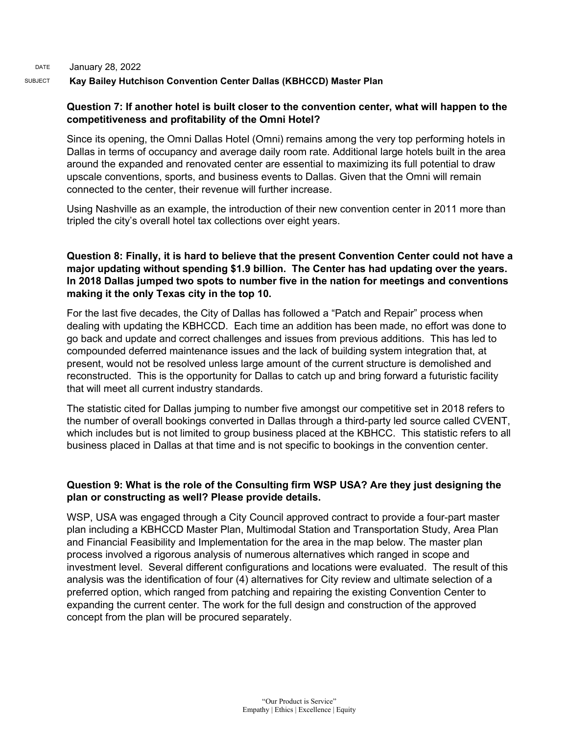#### DATE January 28, 2022

### SUBJECT **Kay Bailey Hutchison Convention Center Dallas (KBHCCD) Master Plan**

## **Question 7: If another hotel is built closer to the convention center, what will happen to the competitiveness and profitability of the Omni Hotel?**

Since its opening, the Omni Dallas Hotel (Omni) remains among the very top performing hotels in Dallas in terms of occupancy and average daily room rate. Additional large hotels built in the area around the expanded and renovated center are essential to maximizing its full potential to draw upscale conventions, sports, and business events to Dallas. Given that the Omni will remain connected to the center, their revenue will further increase.

Using Nashville as an example, the introduction of their new convention center in 2011 more than tripled the city's overall hotel tax collections over eight years.

# **Question 8: Finally, it is hard to believe that the present Convention Center could not have a major updating without spending \$1.9 billion. The Center has had updating over the years. In 2018 Dallas jumped two spots to number five in the nation for meetings and conventions making it the only Texas city in the top 10.**

For the last five decades, the City of Dallas has followed a "Patch and Repair" process when dealing with updating the KBHCCD. Each time an addition has been made, no effort was done to go back and update and correct challenges and issues from previous additions. This has led to compounded deferred maintenance issues and the lack of building system integration that, at present, would not be resolved unless large amount of the current structure is demolished and reconstructed. This is the opportunity for Dallas to catch up and bring forward a futuristic facility that will meet all current industry standards.

The statistic cited for Dallas jumping to number five amongst our competitive set in 2018 refers to the number of overall bookings converted in Dallas through a third-party led source called CVENT, which includes but is not limited to group business placed at the KBHCC. This statistic refers to all business placed in Dallas at that time and is not specific to bookings in the convention center.

## **Question 9: What is the role of the Consulting firm WSP USA? Are they just designing the plan or constructing as well? Please provide details.**

WSP, USA was engaged through a City Council approved contract to provide a four-part master plan including a KBHCCD Master Plan, Multimodal Station and Transportation Study, Area Plan and Financial Feasibility and Implementation for the area in the map below. The master plan process involved a rigorous analysis of numerous alternatives which ranged in scope and investment level. Several different configurations and locations were evaluated. The result of this analysis was the identification of four (4) alternatives for City review and ultimate selection of a preferred option, which ranged from patching and repairing the existing Convention Center to expanding the current center. The work for the full design and construction of the approved concept from the plan will be procured separately.